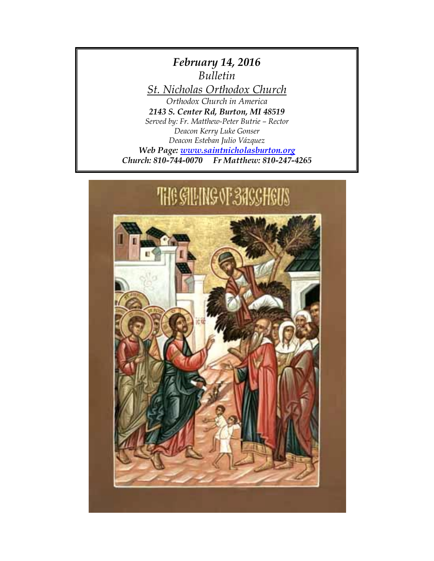*February 14, 2016 Bulletin St. Nicholas Orthodox Church Orthodox Church in America 2143 S. Center Rd, Burton, MI 48519 Served by: Fr. Matthew-Peter Butrie – Rector Deacon Kerry Luke Gonser Deacon Esteban Julio Vázquez Web Page: [www.saintnicholasburton.org](http://www.saintnicholasburton.org/) Church: 810-744-0070 Fr Matthew: 810-247-4265*

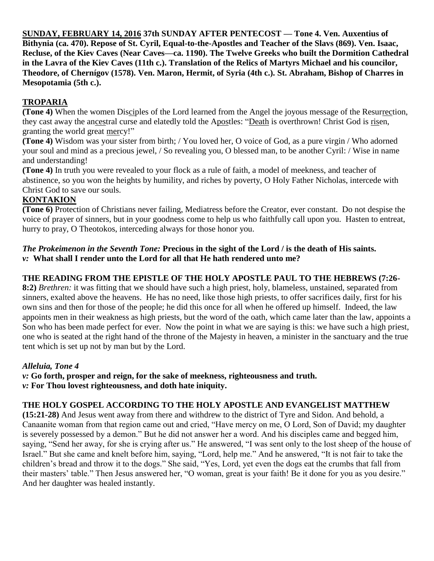**SUNDAY, FEBRUARY 14, 2016 37th SUNDAY AFTER PENTECOST — Tone 4. Ven. Auxentius of Bithynia (ca. 470). Repose of St. Cyril, Equal-to-the-Apostles and Teacher of the Slavs (869). Ven. Isaac, Recluse, of the Kiev Caves (Near Caves—ca. 1190). The Twelve Greeks who built the Dormition Cathedral in the Lavra of the Kiev Caves (11th c.). Translation of the Relics of Martyrs Michael and his councilor, Theodore, of Chernígov (1578). Ven. Maron, Hermit, of Syria (4th c.). St. Abraham, Bishop of Charres in Mesopotamia (5th c.).**

## **TROPARIA**

**(Tone 4)** When the women Disciples of the Lord learned from the Angel the joyous message of the Resurrection, they cast away the ancestral curse and elatedly told the Apostles: "Death is overthrown! Christ God is risen, granting the world great mercy!"

**(Tone 4)** Wisdom was your sister from birth; / You loved her, O voice of God, as a pure virgin / Who adorned your soul and mind as a precious jewel, / So revealing you, O blessed man, to be another Cyril: / Wise in name and understanding!

**(Tone 4)** In truth you were revealed to your flock as a rule of faith, a model of meekness, and teacher of abstinence, so you won the heights by humility, and riches by poverty, O Holy Father Nicholas, intercede with Christ God to save our souls.

## **KONTAKION**

**(Tone 6)** Protection of Christians never failing, Mediatress before the Creator, ever constant. Do not despise the voice of prayer of sinners, but in your goodness come to help us who faithfully call upon you. Hasten to entreat, hurry to pray, O Theotokos, interceding always for those honor you.

#### *The Prokeimenon in the Seventh Tone:* **Precious in the sight of the Lord / is the death of His saints.** *v:* **What shall I render unto the Lord for all that He hath rendered unto me?**

## **THE READING FROM THE EPISTLE OF THE HOLY APOSTLE PAUL TO THE HEBREWS (7:26-**

**8:2)** *Brethren:* it was fitting that we should have such a high priest, holy, blameless, unstained, separated from sinners, exalted above the heavens. He has no need, like those high priests, to offer sacrifices daily, first for his own sins and then for those of the people; he did this once for all when he offered up himself. Indeed, the law appoints men in their weakness as high priests, but the word of the oath, which came later than the law, appoints a Son who has been made perfect for ever. Now the point in what we are saying is this: we have such a high priest, one who is seated at the right hand of the throne of the Majesty in heaven, a minister in the sanctuary and the true tent which is set up not by man but by the Lord.

## *Alleluia, Tone 4*

*v:* **Go forth, prosper and reign, for the sake of meekness, righteousness and truth.** *v:* **For Thou lovest righteousness, and doth hate iniquity.**

## **THE HOLY GOSPEL ACCORDING TO THE HOLY APOSTLE AND EVANGELIST MATTHEW**

**(15:21-28)** And Jesus went away from there and withdrew to the district of Tyre and Sidon. And behold, a Canaanite woman from that region came out and cried, "Have mercy on me, O Lord, Son of David; my daughter is severely possessed by a demon." But he did not answer her a word. And his disciples came and begged him, saying, "Send her away, for she is crying after us." He answered, "I was sent only to the lost sheep of the house of Israel." But she came and knelt before him, saying, "Lord, help me." And he answered, "It is not fair to take the children's bread and throw it to the dogs." She said, "Yes, Lord, yet even the dogs eat the crumbs that fall from their masters' table." Then Jesus answered her, "O woman, great is your faith! Be it done for you as you desire." And her daughter was healed instantly.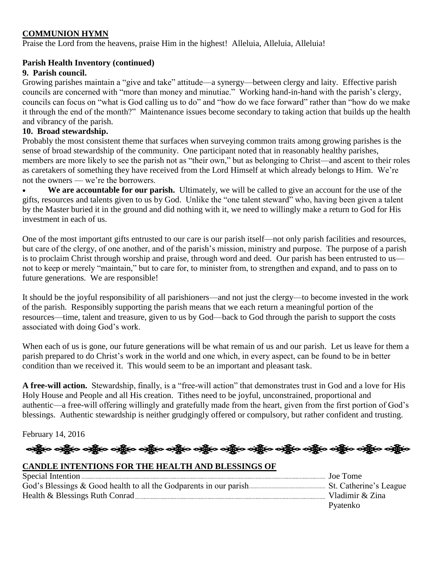## **COMMUNION HYMN**

Praise the Lord from the heavens, praise Him in the highest! Alleluia, Alleluia, Alleluia!

#### **Parish Health Inventory (continued)**

#### **9. Parish council.**

Growing parishes maintain a "give and take" attitude—a synergy—between clergy and laity. Effective parish councils are concerned with "more than money and minutiae." Working hand-in-hand with the parish's clergy, councils can focus on "what is God calling us to do" and "how do we face forward" rather than "how do we make it through the end of the month?" Maintenance issues become secondary to taking action that builds up the health and vibrancy of the parish.

#### **10. Broad stewardship.**

Probably the most consistent theme that surfaces when surveying common traits among growing parishes is the sense of broad stewardship of the community. One participant noted that in reasonably healthy parishes, members are more likely to see the parish not as "their own," but as belonging to Christ—and ascent to their roles as caretakers of something they have received from the Lord Himself at which already belongs to Him. We're not the owners — we're the borrowers.

 **We are accountable for our parish.** Ultimately, we will be called to give an account for the use of the gifts, resources and talents given to us by God. Unlike the "one talent steward" who, having been given a talent by the Master buried it in the ground and did nothing with it, we need to willingly make a return to God for His investment in each of us.

One of the most important gifts entrusted to our care is our parish itself—not only parish facilities and resources, but care of the clergy, of one another, and of the parish's mission, ministry and purpose. The purpose of a parish is to proclaim Christ through worship and praise, through word and deed. Our parish has been entrusted to us not to keep or merely "maintain," but to care for, to minister from, to strengthen and expand, and to pass on to future generations. We are responsible!

It should be the joyful responsibility of all parishioners—and not just the clergy—to become invested in the work of the parish. Responsibly supporting the parish means that we each return a meaningful portion of the resources—time, talent and treasure, given to us by God—back to God through the parish to support the costs associated with doing God's work.

When each of us is gone, our future generations will be what remain of us and our parish. Let us leave for them a parish prepared to do Christ's work in the world and one which, in every aspect, can be found to be in better condition than we received it. This would seem to be an important and pleasant task.

**A free-will action.** Stewardship, finally, is a "free-will action" that demonstrates trust in God and a love for His Holy House and People and all His creation. Tithes need to be joyful, unconstrained, proportional and authentic—a free-will offering willingly and gratefully made from the heart, given from the first portion of God's blessings. Authentic stewardship is neither grudgingly offered or compulsory, but rather confident and trusting.

February 14, 2016

# ခရွိက ခရွိက ခရွိက ခရွိက ခရွိက ခရွိက ခရွိက ခရွိက ခရွိက ခရွိက ခရွိက ခရွိက ခရွိက ခရွိက ခရွိက ခရွိက

## **CANDLE INTENTIONS FOR THE HEALTH AND BLESSINGS OF**

| . Joe Tome      |
|-----------------|
|                 |
| Vladimir & Zina |
| Pyatenko        |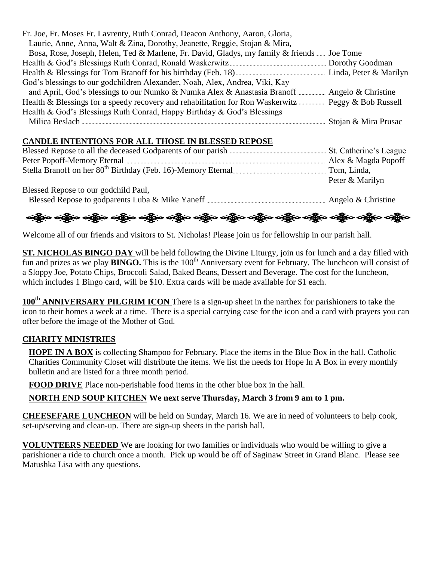| Fr. Joe, Fr. Moses Fr. Lavrenty, Ruth Conrad, Deacon Anthony, Aaron, Gloria,                       |  |
|----------------------------------------------------------------------------------------------------|--|
| Laurie, Anne, Anna, Walt & Zina, Dorothy, Jeanette, Reggie, Stojan & Mira,                         |  |
| Bosa, Rose, Joseph, Helen, Ted & Marlene, Fr. David, Gladys, my family & friends Joe Tome          |  |
|                                                                                                    |  |
|                                                                                                    |  |
| God's blessings to our godchildren Alexander, Noah, Alex, Andrea, Viki, Kay                        |  |
|                                                                                                    |  |
| Health & Blessings for a speedy recovery and rehabilitation for Ron Waskerwitz Peggy & Bob Russell |  |
| Health & God's Blessings Ruth Conrad, Happy Birthday & God's Blessings                             |  |
|                                                                                                    |  |

## **CANDLE INTENTIONS FOR ALL THOSE IN BLESSED REPOSE**

|                                      | Peter & Marilyn |
|--------------------------------------|-----------------|
| Blessed Repose to our godchild Paul, |                 |
|                                      |                 |

## ခရွိက ခရွိက ခရွိက ခရွိက ခရွိက ခရွိက ခရွိက ခရွိက ခရွိက ခရွိက ခရွိက ခရွိက ခရွိက ခရွိက ခရွိက ခရွိက

Welcome all of our friends and visitors to St. Nicholas! Please join us for fellowship in our parish hall.

**ST. NICHOLAS BINGO DAY** will be held following the Divine Liturgy, join us for lunch and a day filled with fun and prizes as we play **BINGO**. This is the 100<sup>th</sup> Anniversary event for February. The luncheon will consist of a Sloppy Joe, Potato Chips, Broccoli Salad, Baked Beans, Dessert and Beverage. The cost for the luncheon, which includes 1 Bingo card, will be \$10. Extra cards will be made available for \$1 each.

**100th ANNIVERSARY PILGRIM ICON** There is a sign-up sheet in the narthex for parishioners to take the icon to their homes a week at a time. There is a special carrying case for the icon and a card with prayers you can offer before the image of the Mother of God.

## **CHARITY MINISTRIES**

**HOPE IN A BOX** is collecting Shampoo for February. Place the items in the Blue Box in the hall. Catholic Charities Community Closet will distribute the items. We list the needs for Hope In A Box in every monthly bulletin and are listed for a three month period.

**FOOD DRIVE** Place non-perishable food items in the other blue box in the hall.

**NORTH END SOUP KITCHEN We next serve Thursday, March 3 from 9 am to 1 pm.**

**CHEESEFARE LUNCHEON** will be held on Sunday, March 16. We are in need of volunteers to help cook, set-up/serving and clean-up. There are sign-up sheets in the parish hall.

**VOLUNTEERS NEEDED** We are looking for two families or individuals who would be willing to give a parishioner a ride to church once a month. Pick up would be off of Saginaw Street in Grand Blanc. Please see Matushka Lisa with any questions.